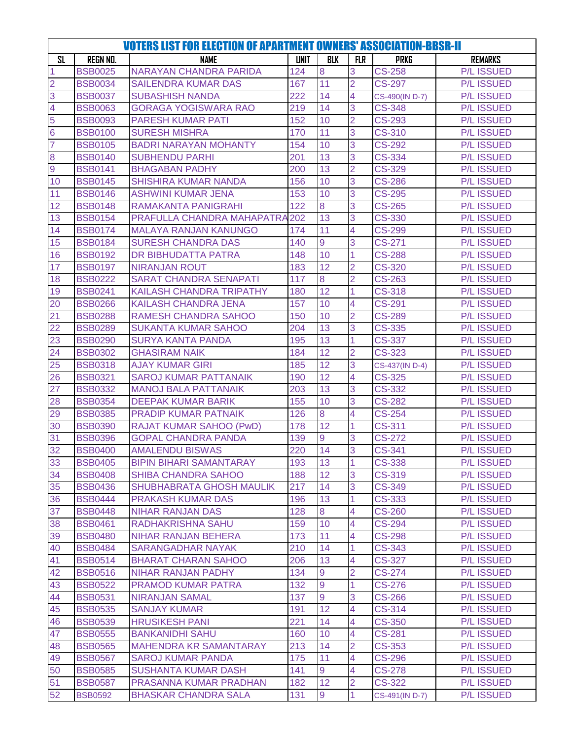| <b>VOTERS LIST FOR ELECTION OF APARTMENT OWNERS' ASSOCIATION-BBSR-II</b> |                                  |                                                  |             |                |                         |                                |                                        |  |
|--------------------------------------------------------------------------|----------------------------------|--------------------------------------------------|-------------|----------------|-------------------------|--------------------------------|----------------------------------------|--|
| <b>SL</b>                                                                | <b>REGN NO.</b>                  | <b>NAME</b>                                      | <b>UNIT</b> | <b>BLK</b>     | <b>FLR</b>              | <b>PRKG</b>                    | <b>REMARKS</b>                         |  |
| 1                                                                        | <b>BSB0025</b>                   | <b>NARAYAN CHANDRA PARIDA</b>                    | 124         | 8              | 3                       | <b>CS-258</b>                  | <b>P/L ISSUED</b>                      |  |
| $\overline{2}$                                                           | <b>BSB0034</b>                   | <b>SAILENDRA KUMAR DAS</b>                       | 167         | 11             | $\overline{2}$          | <b>CS-297</b>                  | <b>P/L ISSUED</b>                      |  |
| 3                                                                        | <b>BSB0037</b>                   | <b>SUBASHISH NANDA</b>                           | 222         | 14             | 4                       | CS-490(IN D-7)                 | <b>P/L ISSUED</b>                      |  |
| 4                                                                        | <b>BSB0063</b>                   | <b>GORAGA YOGISWARA RAO</b>                      | 219         | 14             | 3                       | <b>CS-348</b>                  | <b>P/L ISSUED</b>                      |  |
| 5                                                                        | <b>BSB0093</b>                   | <b>PARESH KUMAR PATI</b>                         | 152         | 10             | $\overline{2}$          | $\overline{\text{CS-293}}$     | <b>P/L ISSUED</b>                      |  |
| $6\phantom{1}6$                                                          | <b>BSB0100</b>                   | <b>SURESH MISHRA</b>                             | 170         | 11             | 3                       | <b>CS-310</b>                  | <b>P/L ISSUED</b>                      |  |
| 7                                                                        | <b>BSB0105</b>                   | <b>BADRI NARAYAN MOHANTY</b>                     | 154         | 10             | 3                       | CS-292                         | <b>P/L ISSUED</b>                      |  |
| 8                                                                        | <b>BSB0140</b>                   | <b>SUBHENDU PARHI</b>                            | 201         | 13             | 3                       | <b>CS-334</b>                  | <b>P/L ISSUED</b>                      |  |
| $\overline{9}$                                                           | <b>BSB0141</b>                   | <b>BHAGABAN PADHY</b>                            | 200         | 13             | $\overline{2}$          | <b>CS-329</b>                  | <b>P/L ISSUED</b>                      |  |
| 10                                                                       | <b>BSB0145</b>                   | <b>SHISHIRA KUMAR NANDA</b>                      | 156         | 10             | 3                       | <b>CS-286</b>                  | <b>P/L ISSUED</b>                      |  |
| 11                                                                       | <b>BSB0146</b>                   | <b>ASHWINI KUMAR JENA</b>                        | 153         | 10             | 3                       | <b>CS-295</b>                  | <b>P/L ISSUED</b>                      |  |
| 12                                                                       | <b>BSB0148</b>                   | <b>RAMAKANTA PANIGRAHI</b>                       | 122         | 8              | 3                       | <b>CS-265</b>                  | <b>P/L ISSUED</b>                      |  |
| 13                                                                       | <b>BSB0154</b>                   | PRAFULLA CHANDRA MAHAPATRA 202                   |             | 13             | 3                       | CS-330                         | <b>P/L ISSUED</b>                      |  |
| 14                                                                       | <b>BSB0174</b>                   | <b>MALAYA RANJAN KANUNGO</b>                     | 174         | 11             | 4                       | <b>CS-299</b>                  | <b>P/L ISSUED</b>                      |  |
| 15                                                                       | <b>BSB0184</b>                   | <b>SURESH CHANDRA DAS</b>                        | 140         | 9              | 3                       | <b>CS-271</b>                  | <b>P/L ISSUED</b>                      |  |
| 16                                                                       | <b>BSB0192</b>                   | DR BIBHUDATTA PATRA                              | 148         | 10             | $\overline{1}$          | CS-288                         | <b>P/L ISSUED</b>                      |  |
| 17                                                                       | <b>BSB0197</b>                   | <b>NIRANJAN ROUT</b>                             | 183         | 12             | $\overline{2}$          | <b>CS-320</b>                  | <b>P/L ISSUED</b>                      |  |
| 18                                                                       | <b>BSB0222</b>                   | <b>SARAT CHANDRA SENAPATI</b>                    | 117         | 8              | $\overline{2}$          | CS-263                         | <b>P/L ISSUED</b>                      |  |
| 19                                                                       | <b>BSB0241</b>                   | <b>KAILASH CHANDRA TRIPATHY</b>                  | 180         | 12             | 1                       | <b>CS-318</b>                  | <b>P/L ISSUED</b>                      |  |
| 20                                                                       | <b>BSB0266</b>                   | <b>KAILASH CHANDRA JENA</b>                      | 157         | 10             | $\overline{4}$          | CS-291                         | <b>P/L ISSUED</b>                      |  |
| 21                                                                       | <b>BSB0288</b>                   | <b>RAMESH CHANDRA SAHOO</b>                      | 150         | 10             | $\overline{2}$          | <b>CS-289</b>                  | <b>P/L ISSUED</b>                      |  |
| 22                                                                       | <b>BSB0289</b>                   | <b>SUKANTA KUMAR SAHOO</b>                       | 204         | 13             | 3                       | CS-335                         | <b>P/L ISSUED</b>                      |  |
| 23                                                                       | <b>BSB0290</b>                   | <b>SURYA KANTA PANDA</b>                         | 195         | 13             | $\overline{1}$          | <b>CS-337</b>                  | <b>P/L ISSUED</b>                      |  |
| 24                                                                       | <b>BSB0302</b>                   | <b>GHASIRAM NAIK</b>                             | 184         | 12             | $\overline{2}$          | CS-323                         | <b>P/L ISSUED</b>                      |  |
| 25                                                                       | <b>BSB0318</b>                   | <b>AJAY KUMAR GIRI</b>                           | 185         | 12             | 3                       | CS-437(IN D-4)                 | <b>P/L ISSUED</b>                      |  |
| 26                                                                       | <b>BSB0321</b>                   | <b>SAROJ KUMAR PATTANAIK</b>                     | 190         | 12             | $\overline{\mathbf{4}}$ | <b>CS-325</b>                  | <b>P/L ISSUED</b>                      |  |
| 27                                                                       | <b>BSB0332</b>                   | <b>MANOJ BALA PATTANAIK</b>                      | 203         | 13             | 3                       | $\overline{\text{CS}}$ -332    | <b>P/L ISSUED</b>                      |  |
| 28                                                                       | <b>BSB0354</b>                   | <b>DEEPAK KUMAR BARIK</b>                        | 155         | 10             | 3                       | CS-282                         | <b>P/L ISSUED</b>                      |  |
| 29                                                                       | <b>BSB0385</b>                   | <b>PRADIP KUMAR PATNAIK</b>                      | 126         | 8              | 4                       | <b>CS-254</b>                  | <b>P/L ISSUED</b>                      |  |
| 30                                                                       | <b>BSB0390</b>                   | <b>RAJAT KUMAR SAHOO (PwD)</b>                   | 178         | 12             | 1                       | <b>CS-311</b>                  | <b>P/L ISSUED</b>                      |  |
| 31                                                                       | <b>BSB0396</b>                   | <b>GOPAL CHANDRA PANDA</b>                       | 139         | 9              | 3                       | <b>CS-272</b>                  | <b>P/L ISSUED</b>                      |  |
| 32                                                                       | <b>BSB0400</b>                   | <b>AMALENDU BISWAS</b>                           | 220         | 14             | 3                       | <b>CS-341</b>                  | <b>P/L ISSUED</b>                      |  |
| 33                                                                       | <b>BSB0405</b>                   | <b>BIPIN BIHARI SAMANTARAY</b>                   | 193         | 13             | 1                       | <b>CS-338</b>                  | <b>P/L ISSUED</b>                      |  |
| 34                                                                       | <b>BSB0408</b>                   | <b>SHIBA CHANDRA SAHOO</b>                       | 188         | 12             | 3                       | <b>CS-319</b>                  | <b>P/L ISSUED</b>                      |  |
| 35                                                                       | <b>BSB0436</b>                   | <b>SHUBHABRATA GHOSH MAULIK</b>                  | 217         | 14             | 3                       | CS-349                         | <b>P/L ISSUED</b>                      |  |
| 36                                                                       | <b>BSB0444</b>                   | PRAKASH KUMAR DAS                                | 196         | 13             | 1                       | CS-333                         | <b>P/L ISSUED</b>                      |  |
| 37                                                                       | <b>BSB0448</b>                   | <b>NIHAR RANJAN DAS</b>                          | 128         | 8              | 4                       | <b>CS-260</b>                  | <b>P/L ISSUED</b>                      |  |
| 38                                                                       | <b>BSB0461</b>                   | RADHAKRISHNA SAHU                                | 159         | 10             | $\overline{4}$          | <b>CS-294</b>                  | <b>P/L ISSUED</b>                      |  |
| 39                                                                       | <b>BSB0480</b>                   | NIHAR RANJAN BEHERA                              | 173         | 11             | 4                       | <b>CS-298</b>                  | <b>P/L ISSUED</b>                      |  |
| 40                                                                       | <b>BSB0484</b>                   | <b>SARANGADHAR NAYAK</b>                         | 210         | 14<br>13       | 1                       | CS-343<br>CS-327               | <b>P/L ISSUED</b>                      |  |
| 41                                                                       | <b>BSB0514</b>                   | <b>BHARAT CHARAN SAHOO</b><br>NIHAR RANJAN PADHY | 206         |                | 4<br>$\overline{2}$     |                                | <b>P/L ISSUED</b><br><b>P/L ISSUED</b> |  |
| 42<br>43                                                                 | <b>BSB0516</b><br><b>BSB0522</b> | PRAMOD KUMAR PATRA                               | 134<br>132  | 9<br>9         | 1                       | <b>CS-274</b><br><b>CS-276</b> | <b>P/L ISSUED</b>                      |  |
| 44                                                                       | <b>BSB0531</b>                   | <b>NIRANJAN SAMAL</b>                            | 137         | 9              | 3                       | <b>CS-266</b>                  | <b>P/L ISSUED</b>                      |  |
| 45                                                                       | <b>BSB0535</b>                   | <b>SANJAY KUMAR</b>                              | 191         | 12             | $\overline{4}$          | CS-314                         | <b>P/L ISSUED</b>                      |  |
| 46                                                                       | <b>BSB0539</b>                   | <b>HRUSIKESH PANI</b>                            | 221         | 14             |                         | CS-350                         | <b>P/L ISSUED</b>                      |  |
| 47                                                                       | <b>BSB0555</b>                   | <b>BANKANIDHI SAHU</b>                           | 160         | 10             | 4<br>4                  | <b>CS-281</b>                  | <b>P/L ISSUED</b>                      |  |
| 48                                                                       | <b>BSB0565</b>                   | <b>MAHENDRA KR SAMANTARAY</b>                    | 213         | 14             | $\overline{2}$          | <b>CS-353</b>                  | <b>P/L ISSUED</b>                      |  |
| 49                                                                       | <b>BSB0567</b>                   | <b>SAROJ KUMAR PANDA</b>                         | 175         | 11             | 4                       | <b>CS-296</b>                  | <b>P/L ISSUED</b>                      |  |
| 50                                                                       | <b>BSB0585</b>                   | <b>SUSHANTA KUMAR DASH</b>                       | 141         | $\overline{9}$ | 4                       | <b>CS-278</b>                  | <b>P/L ISSUED</b>                      |  |
| 51                                                                       | <b>BSB0587</b>                   | PRASANNA KUMAR PRADHAN                           | 182         | 12             | $\overline{2}$          | CS-322                         | <b>P/L ISSUED</b>                      |  |
| 52                                                                       | <b>BSB0592</b>                   | <b>BHASKAR CHANDRA SALA</b>                      | 131         | 9              | 1                       | CS-491(IN D-7)                 | <b>P/L ISSUED</b>                      |  |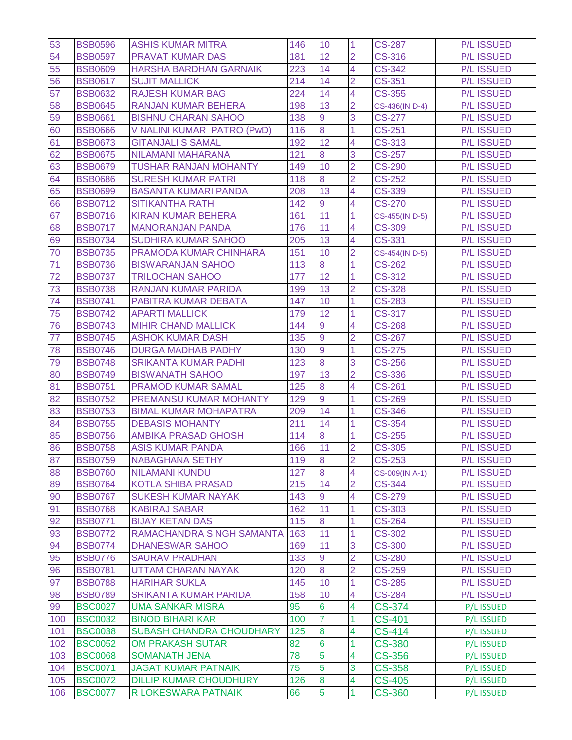| 53  | <b>BSB0596</b> | <b>ASHIS KUMAR MITRA</b>      | 146 | 10             | 1                       | <b>CS-287</b>  | <b>P/L ISSUED</b> |
|-----|----------------|-------------------------------|-----|----------------|-------------------------|----------------|-------------------|
| 54  | <b>BSB0597</b> | <b>PRAVAT KUMAR DAS</b>       | 181 | 12             | $\overline{2}$          | <b>CS-316</b>  | <b>P/L ISSUED</b> |
| 55  | <b>BSB0609</b> | <b>HARSHA BARDHAN GARNAIK</b> | 223 | 14             | $\overline{4}$          | <b>CS-342</b>  | <b>P/L ISSUED</b> |
| 56  | <b>BSB0617</b> | <b>SUJIT MALLICK</b>          | 214 | 14             | $\overline{2}$          | <b>CS-351</b>  | <b>P/L ISSUED</b> |
| 57  | <b>BSB0632</b> | <b>RAJESH KUMAR BAG</b>       | 224 | 14             | 4                       | <b>CS-355</b>  | <b>P/L ISSUED</b> |
| 58  | <b>BSB0645</b> | <b>RANJAN KUMAR BEHERA</b>    | 198 | 13             | $\overline{2}$          | CS-436(IN D-4) | <b>P/L ISSUED</b> |
| 59  | <b>BSB0661</b> | <b>BISHNU CHARAN SAHOO</b>    | 138 | 9              | 3                       | <b>CS-277</b>  | <b>P/L ISSUED</b> |
| 60  | <b>BSB0666</b> | V NALINI KUMAR PATRO (PwD)    | 116 | 8              | 1                       | <b>CS-251</b>  | <b>P/L ISSUED</b> |
| 61  | <b>BSB0673</b> | <b>GITANJALI S SAMAL</b>      | 192 | 12             | $\overline{4}$          | <b>CS-313</b>  | <b>P/L ISSUED</b> |
| 62  | <b>BSB0675</b> | <b>NILAMANI MAHARANA</b>      | 121 | 8              | 3                       | <b>CS-257</b>  | <b>P/L ISSUED</b> |
| 63  | <b>BSB0679</b> | <b>TUSHAR RANJAN MOHANTY</b>  | 149 | 10             | $\overline{2}$          | <b>CS-290</b>  | <b>P/L ISSUED</b> |
| 64  | <b>BSB0686</b> | <b>SURESH KUMAR PATRI</b>     | 118 | 8              | $\overline{2}$          | <b>CS-252</b>  | <b>P/L ISSUED</b> |
| 65  | <b>BSB0699</b> | <b>BASANTA KUMARI PANDA</b>   | 208 | 13             | 4                       | <b>CS-339</b>  | <b>P/L ISSUED</b> |
| 66  | <b>BSB0712</b> | <b>SITIKANTHA RATH</b>        | 142 | 9              | $\overline{4}$          | <b>CS-270</b>  | <b>P/L ISSUED</b> |
| 67  | <b>BSB0716</b> | <b>KIRAN KUMAR BEHERA</b>     | 161 | 11             | 1                       | CS-455(IN D-5) | <b>P/L ISSUED</b> |
| 68  | <b>BSB0717</b> | <b>MANORANJAN PANDA</b>       | 176 | 11             | 4                       | <b>CS-309</b>  | <b>P/L ISSUED</b> |
| 69  | <b>BSB0734</b> | <b>SUDHIRA KUMAR SAHOO</b>    | 205 | 13             | $\overline{4}$          | <b>CS-331</b>  | <b>P/L ISSUED</b> |
| 70  | <b>BSB0735</b> | PRAMODA KUMAR CHINHARA        | 151 | 10             | $\overline{2}$          | CS-454(IN D-5) | <b>P/L ISSUED</b> |
| 71  | <b>BSB0736</b> | <b>BISWARANJAN SAHOO</b>      | 113 | 8              | 1                       | <b>CS-262</b>  | <b>P/L ISSUED</b> |
| 72  | <b>BSB0737</b> | <b>TRILOCHAN SAHOO</b>        | 177 | 12             | 1                       | <b>CS-312</b>  | <b>P/L ISSUED</b> |
| 73  | <b>BSB0738</b> | <b>RANJAN KUMAR PARIDA</b>    | 199 | 13             | $\overline{2}$          | <b>CS-328</b>  | <b>P/L ISSUED</b> |
| 74  | <b>BSB0741</b> | PABITRA KUMAR DEBATA          | 147 | 10             | 1                       | <b>CS-283</b>  | <b>P/L ISSUED</b> |
| 75  | <b>BSB0742</b> | <b>APARTI MALLICK</b>         | 179 | 12             | 1                       | <b>CS-317</b>  | <b>P/L ISSUED</b> |
| 76  | <b>BSB0743</b> | <b>MIHIR CHAND MALLICK</b>    | 144 | $\overline{9}$ | 4                       | <b>CS-268</b>  | <b>P/L ISSUED</b> |
| 77  | <b>BSB0745</b> | <b>ASHOK KUMAR DASH</b>       | 135 | $\overline{9}$ | $\overline{2}$          | <b>CS-267</b>  | <b>P/L ISSUED</b> |
| 78  | <b>BSB0746</b> | <b>DURGA MADHAB PADHY</b>     | 130 | 9              | 1                       | <b>CS-275</b>  | <b>P/L ISSUED</b> |
| 79  | <b>BSB0748</b> | <b>SRIKANTA KUMAR PADHI</b>   | 123 | 8              | 3                       | $CS-256$       | <b>P/L ISSUED</b> |
| 80  | <b>BSB0749</b> | <b>BISWANATH SAHOO</b>        | 197 | 13             | $\overline{2}$          | <b>CS-336</b>  | <b>P/L ISSUED</b> |
| 81  | <b>BSB0751</b> | <b>PRAMOD KUMAR SAMAL</b>     | 125 | 8              | 4                       | <b>CS-261</b>  | <b>P/L ISSUED</b> |
| 82  | <b>BSB0752</b> | PREMANSU KUMAR MOHANTY        | 129 | 9              | 1                       | <b>CS-269</b>  | <b>P/L ISSUED</b> |
| 83  | <b>BSB0753</b> | <b>BIMAL KUMAR MOHAPATRA</b>  | 209 | 14             | 1                       | <b>CS-346</b>  | <b>P/L ISSUED</b> |
| 84  | <b>BSB0755</b> | <b>DEBASIS MOHANTY</b>        | 211 | 14             | 1                       | <b>CS-354</b>  | <b>P/L ISSUED</b> |
| 85  | <b>BSB0756</b> | <b>AMBIKA PRASAD GHOSH</b>    | 114 | 8              | 1                       | <b>CS-255</b>  | <b>P/L ISSUED</b> |
| 86  | <b>BSB0758</b> | <b>ASIS KUMAR PANDA</b>       | 166 | 11             | $\overline{2}$          | <b>CS-305</b>  | <b>P/L ISSUED</b> |
| 87  | <b>BSB0759</b> | NABAGHANA SETHY               | 119 | 8              | 2                       | CS-253         | <b>P/L ISSUED</b> |
| 88  | <b>BSB0760</b> | <b>NILAMANI KUNDU</b>         | 127 | 8              | $\overline{4}$          | CS-009(IN A-1) | <b>P/L ISSUED</b> |
| 89  | <b>BSB0764</b> | <b>KOTLA SHIBA PRASAD</b>     | 215 | 14             | $\overline{2}$          | <b>CS-344</b>  | <b>P/L ISSUED</b> |
| 90  | <b>BSB0767</b> | <b>SUKESH KUMAR NAYAK</b>     | 143 | 9              | 4                       | CS-279         | <b>P/L ISSUED</b> |
| 91  | <b>BSB0768</b> | <b>KABIRAJ SABAR</b>          | 162 | 11             | 1                       | <b>CS-303</b>  | <b>P/L ISSUED</b> |
| 92  | <b>BSB0771</b> | <b>BIJAY KETAN DAS</b>        | 115 | 8              | 1                       | <b>CS-264</b>  | <b>P/L ISSUED</b> |
| 93  | <b>BSB0772</b> | RAMACHANDRA SINGH SAMANTA     | 163 | 11             | 1                       | <b>CS-302</b>  | <b>P/L ISSUED</b> |
| 94  | <b>BSB0774</b> | <b>DHANESWAR SAHOO</b>        | 169 | 11             | 3                       | <b>CS-300</b>  | <b>P/L ISSUED</b> |
| 95  | <b>BSB0776</b> | <b>SAURAV PRADHAN</b>         | 133 | 9              | $\overline{2}$          | <b>CS-280</b>  | <b>P/L ISSUED</b> |
| 96  | <b>BSB0781</b> | <b>UTTAM CHARAN NAYAK</b>     | 120 | 8              | $\overline{2}$          | <b>CS-259</b>  | <b>P/L ISSUED</b> |
| 97  | <b>BSB0788</b> | <b>HARIHAR SUKLA</b>          | 145 | 10             | 1                       | <b>CS-285</b>  | <b>P/L ISSUED</b> |
| 98  | <b>BSB0789</b> | <b>SRIKANTA KUMAR PARIDA</b>  | 158 | 10             | $\overline{4}$          | <b>CS-284</b>  | <b>P/L ISSUED</b> |
| 99  | <b>BSC0027</b> | <b>UMA SANKAR MISRA</b>       | 95  | 6              | $\overline{\mathbf{4}}$ | CS-374         | P/L ISSUED        |
| 100 | <b>BSC0032</b> | <b>BINOD BIHARI KAR</b>       | 100 | 7              | $\mathbf{1}$            | <b>CS-401</b>  | P/L ISSUED        |
| 101 | <b>BSC0038</b> | SUBASH CHANDRA CHOUDHARY      | 125 | 8              | 4                       | <b>CS-414</b>  | P/L ISSUED        |
| 102 | <b>BSC0052</b> | <b>OM PRAKASH SUTAR</b>       | 82  | 6              | 1                       | <b>CS-380</b>  | P/L ISSUED        |
| 103 | <b>BSC0068</b> | <b>SOMANATH JENA</b>          | 78  | 5              | $\overline{\mathbf{4}}$ | <b>CS-356</b>  | P/L ISSUED        |
| 104 | <b>BSC0071</b> | <b>JAGAT KUMAR PATNAIK</b>    | 75  | 5              | 3                       | <b>CS-358</b>  | P/L ISSUED        |
| 105 | <b>BSC0072</b> | <b>DILLIP KUMAR CHOUDHURY</b> | 126 | 8              | $\overline{\mathbf{4}}$ | <b>CS-405</b>  | P/L ISSUED        |
| 106 | <b>BSC0077</b> | R LOKESWARA PATNAIK           | 66  | 5              | 1                       | <b>CS-360</b>  | P/L ISSUED        |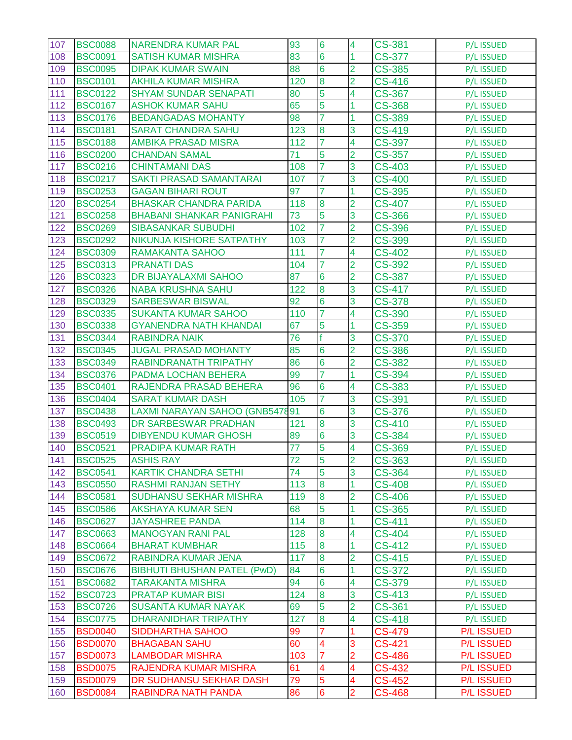| 107 | <b>BSC0088</b> | NARENDRA KUMAR PAL                 | 93              | 6               | 4                   | <b>CS-381</b>               | P/L ISSUED        |
|-----|----------------|------------------------------------|-----------------|-----------------|---------------------|-----------------------------|-------------------|
| 108 | <b>BSC0091</b> | <b>SATISH KUMAR MISHRA</b>         | 83              | 6               | 1                   | <b>CS-377</b>               | P/L ISSUED        |
| 109 | <b>BSC0095</b> | <b>DIPAK KUMAR SWAIN</b>           | 88              | $6\overline{6}$ | $\overline{2}$      | <b>CS-385</b>               | P/L ISSUED        |
| 110 | <b>BSC0101</b> | <b>AKHILA KUMAR MISHRA</b>         | 120             | 8               | $\overline{2}$      | <b>CS-416</b>               | P/L ISSUED        |
| 111 | <b>BSC0122</b> | <b>SHYAM SUNDAR SENAPATI</b>       | 80              | 5               | 4                   | CS-367                      | P/L ISSUED        |
| 112 | <b>BSC0167</b> | <b>ASHOK KUMAR SAHU</b>            | 65              | 5               | 1                   | <b>CS-368</b>               | P/L ISSUED        |
| 113 | <b>BSC0176</b> | <b>BEDANGADAS MOHANTY</b>          | 98              | 7               | 1                   | <b>CS-389</b>               | <b>P/L ISSUED</b> |
| 114 | <b>BSC0181</b> | <b>SARAT CHANDRA SAHU</b>          | 123             | 8               | 3                   | <b>CS-419</b>               | P/L ISSUED        |
| 115 | <b>BSC0188</b> | <b>AMBIKA PRASAD MISRA</b>         | 112             | 7               | $\overline{4}$      | <b>CS-397</b>               | P/L ISSUED        |
| 116 | <b>BSC0200</b> | <b>CHANDAN SAMAL</b>               | 71              | 5               | $\overline{2}$      | CS-357                      | P/L ISSUED        |
| 117 | <b>BSC0216</b> | <b>CHINTAMANI DAS</b>              | 108             | 7               | 3                   | CS-403                      | <b>P/L ISSUED</b> |
| 118 | <b>BSC0217</b> | <b>SAKTI PRASAD SAMANTARAI</b>     | 107             |                 | 3                   | <b>CS-400</b>               | P/L ISSUED        |
| 119 | <b>BSC0253</b> | <b>GAGAN BIHARI ROUT</b>           | 97              | 7               | 1                   | <b>CS-395</b>               | P/L ISSUED        |
| 120 | <b>BSC0254</b> | <b>BHASKAR CHANDRA PARIDA</b>      | 118             | 8               | $\overline{2}$      | <b>CS-407</b>               | P/L ISSUED        |
| 121 | <b>BSC0258</b> | <b>BHABANI SHANKAR PANIGRAHI</b>   | 73              | 5               | 3                   | <b>CS-366</b>               | P/L ISSUED        |
| 122 | <b>BSC0269</b> | <b>SIBASANKAR SUBUDHI</b>          | 102             |                 | $\overline{2}$      | <b>CS-396</b>               | P/L ISSUED        |
| 123 | <b>BSC0292</b> | NIKUNJA KISHORE SATPATHY           | 103             |                 | $\overline{2}$      | CS-399                      | P/L ISSUED        |
| 124 | <b>BSC0309</b> | <b>RAMAKANTA SAHOO</b>             | 111             | 7               | 4                   | <b>CS-402</b>               | P/L ISSUED        |
| 125 | <b>BSC0313</b> | <b>PRANATI DAS</b>                 | 104             | 7               | $\overline{2}$      | <b>CS-392</b>               | P/L ISSUED        |
| 126 | <b>BSC0323</b> | DR BIJAYALAXMI SAHOO               | 87              | $6\phantom{1}6$ | $\overline{2}$      | <b>CS-387</b>               | P/L ISSUED        |
| 127 | <b>BSC0326</b> | <b>NABA KRUSHNA SAHU</b>           | 122             | 8               | 3                   | <b>CS-417</b>               | P/L ISSUED        |
| 128 | <b>BSC0329</b> | <b>SARBESWAR BISWAL</b>            | $\overline{92}$ | $6\overline{6}$ | 3                   | <b>CS-378</b>               | <b>P/L ISSUED</b> |
| 129 | <b>BSC0335</b> | <b>SUKANTA KUMAR SAHOO</b>         | 110             |                 | 4                   | CS-390                      | P/L ISSUED        |
| 130 | <b>BSC0338</b> | <b>GYANENDRA NATH KHANDAI</b>      | 67              | 5               | 1                   | <b>CS-359</b>               | P/L ISSUED        |
| 131 | <b>BSC0344</b> | <b>RABINDRA NAIK</b>               | 76              |                 | 3                   | <b>CS-370</b>               | P/L ISSUED        |
| 132 | <b>BSC0345</b> | <b>JUGAL PRASAD MOHANTY</b>        | 85              | 6               | $\overline{2}$      | <b>CS-386</b>               | P/L ISSUED        |
| 133 | <b>BSC0349</b> | RABINDRANATH TRIPATHY              | 86              | 6               | $\overline{2}$      | <b>CS-382</b>               | P/L ISSUED        |
| 134 | <b>BSC0376</b> | PADMA LOCHAN BEHERA                | 99              | 7               | 1                   | CS-394                      | P/L ISSUED        |
| 135 | <b>BSC0401</b> | RAJENDRA PRASAD BEHERA             | 96              | $6\overline{6}$ | 4                   | <b>CS-383</b>               | P/L ISSUED        |
| 136 | <b>BSC0404</b> | <b>SARAT KUMAR DASH</b>            | 105             | 7               | 3                   | CS-391                      | P/L ISSUED        |
| 137 | <b>BSC0438</b> | LAXMI NARAYAN SAHOO (GNB547891     |                 | 6               | 3                   | <b>CS-376</b>               | P/L ISSUED        |
| 138 | <b>BSC0493</b> | DR SARBESWAR PRADHAN               | 121             | 8               | 3                   | $\overline{\text{CS}}$ -410 | P/L ISSUED        |
| 139 | <b>BSC0519</b> | <b>DIBYENDU KUMAR GHOSH</b>        | 89              | $6\overline{6}$ | 3                   | CS-384                      | P/L ISSUED        |
| 140 | <b>BSC0521</b> | <b>PRADIPA KUMAR RATH</b>          | 77              | 5               | 4                   | CS-369                      | <b>P/L ISSUED</b> |
| 141 | <b>BSC0525</b> | <b>ASHIS RAY</b>                   | 72              | $\mathbf b$     | $\overline{2}$      | CS-363                      | <b>P/L ISSUED</b> |
| 142 | <b>BSC0541</b> | <b>KARTIK CHANDRA SETHI</b>        | 74              | $\overline{5}$  | $\overline{3}$      | CS-364                      | P/L ISSUED        |
| 143 | <b>BSC0550</b> | <b>RASHMI RANJAN SETHY</b>         | 113             | 8               | 1                   | <b>CS-408</b>               | P/L ISSUED        |
| 144 | <b>BSC0581</b> | <b>SUDHANSU SEKHAR MISHRA</b>      | 119             | 8               | $\overline{2}$      | <b>CS-406</b>               | <b>P/L ISSUED</b> |
| 145 | <b>BSC0586</b> | <b>AKSHAYA KUMAR SEN</b>           | 68              | 5               | 1                   | <b>CS-365</b>               | P/L ISSUED        |
| 146 | <b>BSC0627</b> | <b>JAYASHREE PANDA</b>             | 114             | 8               | 1                   | <b>CS-411</b>               | P/L ISSUED        |
| 147 | <b>BSC0663</b> | <b>MANOGYAN RANI PAL</b>           | 128             | 8               | 4                   | <b>CS-404</b>               | P/L ISSUED        |
| 148 | <b>BSC0664</b> | <b>BHARAT KUMBHAR</b>              | 115             | 8               | $\mathbf{1}$        | CS-412                      | P/L ISSUED        |
| 149 | <b>BSC0672</b> | RABINDRA KUMAR JENA                | 117             | 8               | $\overline{2}$      | <b>CS-415</b>               | P/L ISSUED        |
| 150 | <b>BSC0676</b> | <b>BIBHUTI BHUSHAN PATEL (PwD)</b> | 84              | 6               | 1                   | CS-372                      | P/L ISSUED        |
| 151 | <b>BSC0682</b> | <b>TARAKANTA MISHRA</b>            | 94              | 6               | 4                   | CS-379                      | P/L ISSUED        |
| 152 | <b>BSC0723</b> | <b>PRATAP KUMAR BISI</b>           | 124             | 8               | 3                   | CS-413                      | P/L ISSUED        |
| 153 | <b>BSC0726</b> | <b>SUSANTA KUMAR NAYAK</b>         | 69              | $\overline{5}$  | $\overline{2}$      | CS-361                      | P/L ISSUED        |
| 154 | <b>BSC0775</b> | DHARANIDHAR TRIPATHY               | 127             | 8               | 4                   | $\overline{\text{CS}}$ -418 | P/L ISSUED        |
| 155 | <b>BSD0040</b> | SIDDHARTHA SAHOO                   | 99              |                 | 1                   | <b>CS-479</b>               | <b>P/L ISSUED</b> |
| 156 | <b>BSD0070</b> | <b>BHAGABAN SAHU</b>               | 60              | 4               | 3                   | CS-421                      | <b>P/L ISSUED</b> |
| 157 | <b>BSD0073</b> | <b>LAMBODAR MISHRA</b>             | 103             |                 | 2                   | <b>CS-486</b>               | <b>P/L ISSUED</b> |
| 158 | <b>BSD0075</b> | RAJENDRA KUMAR MISHRA              | 61<br>79        | 4               | 4                   | CS-432                      | <b>P/L ISSUED</b> |
| 159 | <b>BSD0079</b> | DR SUDHANSU SEKHAR DASH            |                 | 5               | 4<br>$\overline{2}$ | CS-452                      | <b>P/L ISSUED</b> |
| 160 | <b>BSD0084</b> | RABINDRA NATH PANDA                | 86              | $6\phantom{a}$  |                     | <b>CS-468</b>               | <b>P/L ISSUED</b> |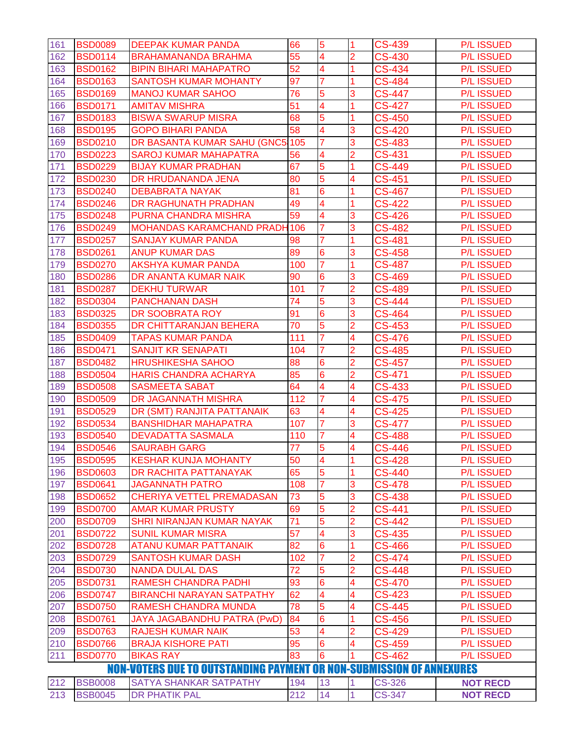| 161                                                                         | <b>BSD0089</b> | <b>DEEPAK KUMAR PANDA</b>           | 66  | 5                       | $\overline{1}$ | <b>CS-439</b> | <b>P/L ISSUED</b> |
|-----------------------------------------------------------------------------|----------------|-------------------------------------|-----|-------------------------|----------------|---------------|-------------------|
| 162                                                                         | <b>BSD0114</b> | <b>BRAHAMANANDA BRAHMA</b>          | 55  | $\overline{4}$          | $\overline{2}$ | <b>CS-430</b> | <b>P/L ISSUED</b> |
| 163                                                                         | <b>BSD0162</b> | <b>BIPIN BIHARI MAHAPATRO</b>       | 52  | $\overline{4}$          | 1              | <b>CS-434</b> | <b>P/L ISSUED</b> |
| 164                                                                         | <b>BSD0163</b> | <b>SANTOSH KUMAR MOHANTY</b>        | 97  | $\overline{7}$          | $\overline{1}$ | <b>CS-484</b> | <b>P/L ISSUED</b> |
| 165                                                                         | <b>BSD0169</b> | <b>MANOJ KUMAR SAHOO</b>            | 76  | 5                       | 3              | <b>CS-447</b> | <b>P/L ISSUED</b> |
| 166                                                                         | <b>BSD0171</b> | <b>AMITAV MISHRA</b>                | 51  | 4                       | 1              | <b>CS-427</b> | <b>P/L ISSUED</b> |
| 167                                                                         | <b>BSD0183</b> | <b>BISWA SWARUP MISRA</b>           | 68  | 5                       | 1              | <b>CS-450</b> | <b>P/L ISSUED</b> |
| 168                                                                         | <b>BSD0195</b> | <b>GOPO BIHARI PANDA</b>            | 58  | $\overline{\mathbf{4}}$ | 3              | <b>CS-420</b> | <b>P/L ISSUED</b> |
| 169                                                                         | <b>BSD0210</b> | DR BASANTA KUMAR SAHU (GNC5         | 105 | $\overline{7}$          | 3              | <b>CS-483</b> | <b>P/L ISSUED</b> |
| 170                                                                         | <b>BSD0223</b> | <b>SAROJ KUMAR MAHAPATRA</b>        | 56  | 4                       | $\overline{2}$ | CS-431        | <b>P/L ISSUED</b> |
| 171                                                                         | <b>BSD0229</b> | <b>BIJAY KUMAR PRADHAN</b>          | 67  | 5                       | $\overline{1}$ | <b>CS-449</b> | <b>P/L ISSUED</b> |
| 172                                                                         | <b>BSD0230</b> | DR HRUDANANDA JENA                  | 80  | $\overline{5}$          | 4              | <b>CS-451</b> | <b>P/L ISSUED</b> |
| 173                                                                         | <b>BSD0240</b> | <b>DEBABRATA NAYAK</b>              | 81  | $6\phantom{1}6$         | 1              | <b>CS-467</b> | <b>P/L ISSUED</b> |
| 174                                                                         | <b>BSD0246</b> | DR RAGHUNATH PRADHAN                | 49  | $\overline{4}$          | 1              | <b>CS-422</b> | <b>P/L ISSUED</b> |
| 175                                                                         | <b>BSD0248</b> | PURNA CHANDRA MISHRA                | 59  | $\overline{\mathbf{4}}$ | 3              | <b>CS-426</b> | <b>P/L ISSUED</b> |
| 176                                                                         | <b>BSD0249</b> | <b>MOHANDAS KARAMCHAND PRADH106</b> |     |                         | 3              | <b>CS-482</b> | <b>P/L ISSUED</b> |
| 177                                                                         | <b>BSD0257</b> | <b>SANJAY KUMAR PANDA</b>           | 98  |                         | 1              | <b>CS-481</b> | <b>P/L ISSUED</b> |
| 178                                                                         | <b>BSD0261</b> | <b>ANUP KUMAR DAS</b>               | 89  | $6\phantom{1}6$         | 3              | <b>CS-458</b> | <b>P/L ISSUED</b> |
| 179                                                                         | <b>BSD0270</b> | <b>AKSHYA KUMAR PANDA</b>           | 100 | $\overline{7}$          | 1              | <b>CS-487</b> | <b>P/L ISSUED</b> |
| 180                                                                         | <b>BSD0286</b> | DR ANANTA KUMAR NAIK                | 90  | $6\overline{6}$         | 3              | <b>CS-469</b> | <b>P/L ISSUED</b> |
| 181                                                                         | <b>BSD0287</b> | <b>DEKHU TURWAR</b>                 | 101 |                         | $\overline{2}$ | <b>CS-489</b> | <b>P/L ISSUED</b> |
| 182                                                                         | <b>BSD0304</b> | <b>PANCHANAN DASH</b>               | 74  | 5                       | 3              | <b>CS-444</b> | <b>P/L ISSUED</b> |
| 183                                                                         | <b>BSD0325</b> | DR SOOBRATA ROY                     | 91  | $6\phantom{1}6$         | 3              | <b>CS-464</b> | <b>P/L ISSUED</b> |
| 184                                                                         | <b>BSD0355</b> | DR CHITTARANJAN BEHERA              | 70  | $\overline{5}$          | $\overline{2}$ | <b>CS-453</b> | <b>P/L ISSUED</b> |
| 185                                                                         | <b>BSD0409</b> | <b>TAPAS KUMAR PANDA</b>            | 111 | $\overline{7}$          | $\overline{4}$ | <b>CS-476</b> | <b>P/L ISSUED</b> |
| 186                                                                         | <b>BSD0471</b> | <b>SANJIT KR SENAPATI</b>           | 104 | $\overline{7}$          | $\overline{2}$ | <b>CS-485</b> | <b>P/L ISSUED</b> |
| 187                                                                         | <b>BSD0482</b> | <b>HRUSHIKESHA SAHOO</b>            | 88  | $6\overline{6}$         | $\overline{2}$ | <b>CS-457</b> | <b>P/L ISSUED</b> |
| 188                                                                         | <b>BSD0504</b> | <b>HARIS CHANDRA ACHARYA</b>        | 85  | $6\phantom{1}6$         | $\overline{2}$ | CS-471        | <b>P/L ISSUED</b> |
| 189                                                                         | <b>BSD0508</b> | <b>SASMEETA SABAT</b>               | 64  | $\overline{4}$          | 4              | <b>CS-433</b> | <b>P/L ISSUED</b> |
| 190                                                                         | <b>BSD0509</b> | DR JAGANNATH MISHRA                 | 112 | 7                       | 4              | <b>CS-475</b> | <b>P/L ISSUED</b> |
| 191                                                                         | <b>BSD0529</b> | DR (SMT) RANJITA PATTANAIK          | 63  | $\overline{\mathbf{4}}$ | 4              | <b>CS-425</b> | <b>P/L ISSUED</b> |
| 192                                                                         | <b>BSD0534</b> | <b>BANSHIDHAR MAHAPATRA</b>         | 107 | $\overline{7}$          | 3              | <b>CS-477</b> | <b>P/L ISSUED</b> |
| 193                                                                         | <b>BSD0540</b> | <b>DEVADATTA SASMALA</b>            | 110 | 7                       | 4              | <b>CS-488</b> | <b>P/L ISSUED</b> |
| 194                                                                         | <b>BSD0546</b> | <b>SAURABH GARG</b>                 | 77  | $\overline{5}$          | 4              | <b>CS-446</b> | <b>P/L ISSUED</b> |
| 195                                                                         | <b>BSD0595</b> | <b>KESHAR KUNJA MOHANTY</b>         | 50  | 4                       | н              | <b>CS-428</b> | <b>P/L ISSUED</b> |
| 196                                                                         | <b>BSD0603</b> | DR RACHITA PATTANAYAK               | 65  | 5                       | $\overline{1}$ | <b>CS-440</b> | <b>P/L ISSUED</b> |
| 197                                                                         | <b>BSD0641</b> | <b>JAGANNATH PATRO</b>              | 108 | 7                       | 3              | <b>CS-478</b> | <b>P/L ISSUED</b> |
| 198                                                                         | <b>BSD0652</b> | CHERIYA VETTEL PREMADASAN           | 73  | 5                       | 3              | CS-438        | <b>P/L ISSUED</b> |
| 199                                                                         | <b>BSD0700</b> | <b>AMAR KUMAR PRUSTY</b>            | 69  | 5                       | $\overline{2}$ | CS-441        | <b>P/L ISSUED</b> |
| 200                                                                         | <b>BSD0709</b> | <b>SHRI NIRANJAN KUMAR NAYAK</b>    | 71  | 5                       | $\overline{2}$ | <b>CS-442</b> | <b>P/L ISSUED</b> |
| 201                                                                         | <b>BSD0722</b> | <b>SUNIL KUMAR MISRA</b>            | 57  | 4                       | 3              | <b>CS-435</b> | <b>P/L ISSUED</b> |
| 202                                                                         | <b>BSD0728</b> | <b>ATANU KUMAR PATTANAIK</b>        | 82  | $6\phantom{1}6$         |                | <b>CS-466</b> | <b>P/L ISSUED</b> |
| 203                                                                         | <b>BSD0729</b> | <b>SANTOSH KUMAR DASH</b>           | 102 | $\overline{7}$          | 2              | <b>CS-474</b> | <b>P/L ISSUED</b> |
| 204                                                                         | <b>BSD0730</b> | <b>NANDA DULAL DAS</b>              | 72  | 5                       | $\overline{2}$ | <b>CS-448</b> | <b>P/L ISSUED</b> |
| 205                                                                         | <b>BSD0731</b> | <b>RAMESH CHANDRA PADHI</b>         | 93  | 6                       | 4              | <b>CS-470</b> | <b>P/L ISSUED</b> |
| 206                                                                         | <b>BSD0747</b> | <b>BIRANCHI NARAYAN SATPATHY</b>    | 62  | 4                       | 4              | <b>CS-423</b> | <b>P/L ISSUED</b> |
| 207                                                                         | <b>BSD0750</b> | <b>RAMESH CHANDRA MUNDA</b>         | 78  | 5                       | 4              | <b>CS-445</b> | <b>P/L ISSUED</b> |
| 208                                                                         | <b>BSD0761</b> | JAYA JAGABANDHU PATRA (PwD)         | 84  | 6                       | 1              | <b>CS-456</b> | <b>P/L ISSUED</b> |
| 209                                                                         | <b>BSD0763</b> | <b>RAJESH KUMAR NAIK</b>            | 53  | 4                       | 2              | <b>CS-429</b> | <b>P/L ISSUED</b> |
| 210                                                                         | <b>BSD0766</b> | <b>BRAJA KISHORE PATI</b>           | 95  | $6\phantom{1}6$         | 4              | <b>CS-459</b> | <b>P/L ISSUED</b> |
| 211                                                                         | <b>BSD0770</b> | <b>BIKAS RAY</b>                    | 83  | 6                       |                | <b>CS-462</b> | <b>P/L ISSUED</b> |
| <b>NON-VOTERS DUE TO OUTSTANDING PAYMENT OR NON-SUBMISSION OF ANNEXURES</b> |                |                                     |     |                         |                |               |                   |
| 212                                                                         | <b>BSB0008</b> | <b>SATYA SHANKAR SATPATHY</b>       | 194 | 13                      | $\vert$        | <b>CS-326</b> | <b>NOT RECD</b>   |
| 213                                                                         | <b>BSB0045</b> | <b>DR PHATIK PAL</b>                | 212 | 14                      | $\mathbf{1}$   | <b>CS-347</b> | <b>NOT RECD</b>   |